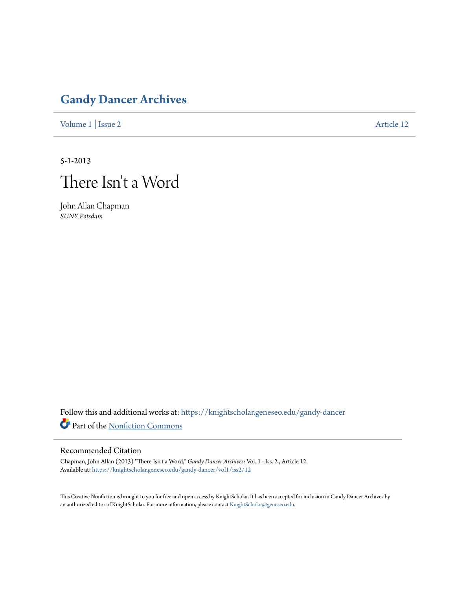## **[Gandy Dancer Archives](https://knightscholar.geneseo.edu/gandy-dancer?utm_source=knightscholar.geneseo.edu%2Fgandy-dancer%2Fvol1%2Fiss2%2F12&utm_medium=PDF&utm_campaign=PDFCoverPages)**

[Volume 1](https://knightscholar.geneseo.edu/gandy-dancer/vol1?utm_source=knightscholar.geneseo.edu%2Fgandy-dancer%2Fvol1%2Fiss2%2F12&utm_medium=PDF&utm_campaign=PDFCoverPages) | [Issue 2](https://knightscholar.geneseo.edu/gandy-dancer/vol1/iss2?utm_source=knightscholar.geneseo.edu%2Fgandy-dancer%2Fvol1%2Fiss2%2F12&utm_medium=PDF&utm_campaign=PDFCoverPages) [Article 12](https://knightscholar.geneseo.edu/gandy-dancer/vol1/iss2/12?utm_source=knightscholar.geneseo.edu%2Fgandy-dancer%2Fvol1%2Fiss2%2F12&utm_medium=PDF&utm_campaign=PDFCoverPages)

5-1-2013



John Allan Chapman *SUNY Potsdam*

Follow this and additional works at: [https://knightscholar.geneseo.edu/gandy-dancer](https://knightscholar.geneseo.edu/gandy-dancer?utm_source=knightscholar.geneseo.edu%2Fgandy-dancer%2Fvol1%2Fiss2%2F12&utm_medium=PDF&utm_campaign=PDFCoverPages) Part of the [Nonfiction Commons](http://network.bepress.com/hgg/discipline/1152?utm_source=knightscholar.geneseo.edu%2Fgandy-dancer%2Fvol1%2Fiss2%2F12&utm_medium=PDF&utm_campaign=PDFCoverPages)

## Recommended Citation

Chapman, John Allan (2013) "There Isn't a Word," *Gandy Dancer Archives*: Vol. 1 : Iss. 2 , Article 12. Available at: [https://knightscholar.geneseo.edu/gandy-dancer/vol1/iss2/12](https://knightscholar.geneseo.edu/gandy-dancer/vol1/iss2/12?utm_source=knightscholar.geneseo.edu%2Fgandy-dancer%2Fvol1%2Fiss2%2F12&utm_medium=PDF&utm_campaign=PDFCoverPages)

This Creative Nonfiction is brought to you for free and open access by KnightScholar. It has been accepted for inclusion in Gandy Dancer Archives by an authorized editor of KnightScholar. For more information, please contact [KnightScholar@geneseo.edu](mailto:KnightScholar@geneseo.edu).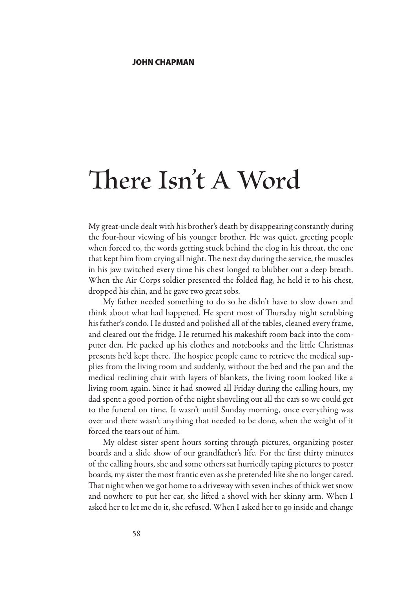## **There Isn't A Word**

My great-uncle dealt with his brother's death by disappearing constantly during the four-hour viewing of his younger brother. He was quiet, greeting people when forced to, the words getting stuck behind the clog in his throat, the one that kept him from crying all night. The next day during the service, the muscles in his jaw twitched every time his chest longed to blubber out a deep breath. When the Air Corps soldier presented the folded flag, he held it to his chest, dropped his chin, and he gave two great sobs.

My father needed something to do so he didn't have to slow down and think about what had happened. He spent most of Thursday night scrubbing his father's condo. He dusted and polished all of the tables, cleaned every frame, and cleared out the fridge. He returned his makeshift room back into the computer den. He packed up his clothes and notebooks and the little Christmas presents he'd kept there. The hospice people came to retrieve the medical supplies from the living room and suddenly, without the bed and the pan and the medical reclining chair with layers of blankets, the living room looked like a living room again. Since it had snowed all Friday during the calling hours, my dad spent a good portion of the night shoveling out all the cars so we could get to the funeral on time. It wasn't until Sunday morning, once everything was over and there wasn't anything that needed to be done, when the weight of it forced the tears out of him.

My oldest sister spent hours sorting through pictures, organizing poster boards and a slide show of our grandfather's life. For the first thirty minutes of the calling hours, she and some others sat hurriedly taping pictures to poster boards, my sister the most frantic even as she pretended like she no longer cared. That night when we got home to a driveway with seven inches of thick wet snow and nowhere to put her car, she lifted a shovel with her skinny arm. When I asked her to let me do it, she refused. When I asked her to go inside and change